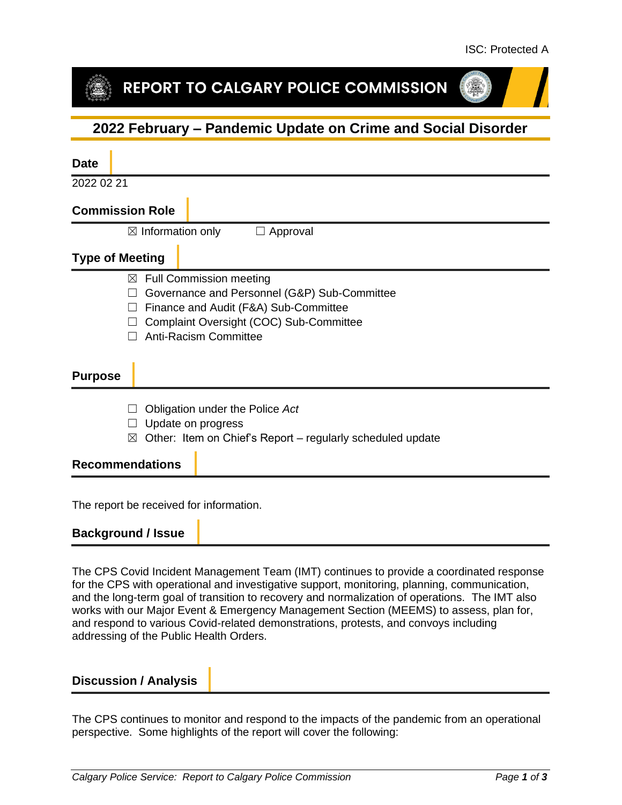## REPORT TO CALGARY POLICE COMMISSION

## **2022 February – Pandemic Update on Crime and Social Disorder**

| <b>Date</b>                                         |                                                                                                                                                                    |
|-----------------------------------------------------|--------------------------------------------------------------------------------------------------------------------------------------------------------------------|
| 2022 02 21                                          |                                                                                                                                                                    |
| <b>Commission Role</b>                              |                                                                                                                                                                    |
| $\boxtimes$ Information only                        | Approval<br>$\Box$                                                                                                                                                 |
| <b>Type of Meeting</b>                              |                                                                                                                                                                    |
| ⊠<br><b>Anti-Racism Committee</b><br><b>Purpose</b> | <b>Full Commission meeting</b><br>Governance and Personnel (G&P) Sub-Committee<br>Finance and Audit (F&A) Sub-Committee<br>Complaint Oversight (COC) Sub-Committee |
| Update on progress<br>⊠<br><b>Recommendations</b>   | Obligation under the Police Act<br>Other: Item on Chief's Report – regularly scheduled update                                                                      |
|                                                     |                                                                                                                                                                    |

The report be received for information.

#### **Background / Issue**

The CPS Covid Incident Management Team (IMT) continues to provide a coordinated response for the CPS with operational and investigative support, monitoring, planning, communication, and the long-term goal of transition to recovery and normalization of operations. The IMT also works with our Major Event & Emergency Management Section (MEEMS) to assess, plan for, and respond to various Covid-related demonstrations, protests, and convoys including addressing of the Public Health Orders.

#### **Discussion / Analysis**

The CPS continues to monitor and respond to the impacts of the pandemic from an operational perspective. Some highlights of the report will cover the following: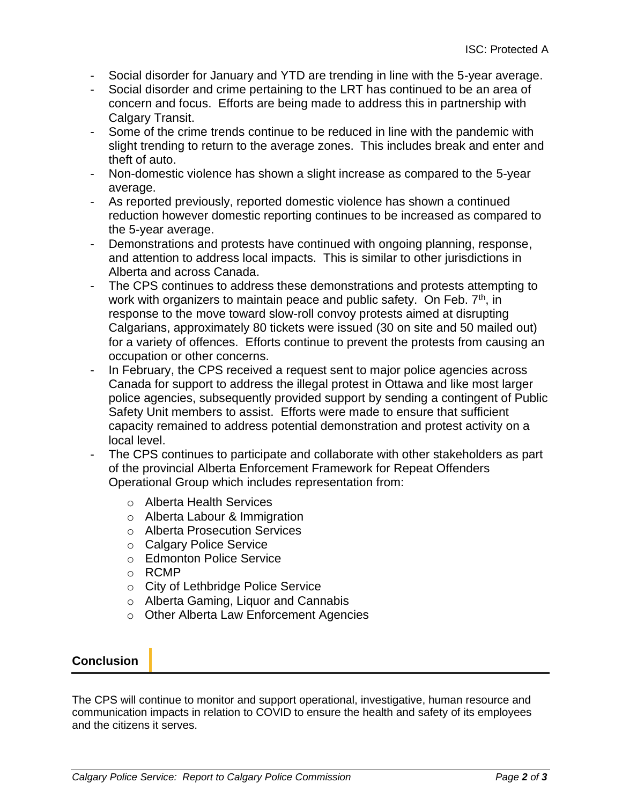- Social disorder for January and YTD are trending in line with the 5-year average.
- Social disorder and crime pertaining to the LRT has continued to be an area of concern and focus. Efforts are being made to address this in partnership with Calgary Transit.
- Some of the crime trends continue to be reduced in line with the pandemic with slight trending to return to the average zones. This includes break and enter and theft of auto.
- Non-domestic violence has shown a slight increase as compared to the 5-year average.
- As reported previously, reported domestic violence has shown a continued reduction however domestic reporting continues to be increased as compared to the 5-year average.
- Demonstrations and protests have continued with ongoing planning, response, and attention to address local impacts. This is similar to other jurisdictions in Alberta and across Canada.
- The CPS continues to address these demonstrations and protests attempting to work with organizers to maintain peace and public safety. On Feb.  $7<sup>th</sup>$ , in response to the move toward slow-roll convoy protests aimed at disrupting Calgarians, approximately 80 tickets were issued (30 on site and 50 mailed out) for a variety of offences. Efforts continue to prevent the protests from causing an occupation or other concerns.
- In February, the CPS received a request sent to major police agencies across Canada for support to address the illegal protest in Ottawa and like most larger police agencies, subsequently provided support by sending a contingent of Public Safety Unit members to assist. Efforts were made to ensure that sufficient capacity remained to address potential demonstration and protest activity on a local level.
- The CPS continues to participate and collaborate with other stakeholders as part of the provincial Alberta Enforcement Framework for Repeat Offenders Operational Group which includes representation from:
	- o Alberta Health Services
	- o Alberta Labour & Immigration
	- o Alberta Prosecution Services
	- o Calgary Police Service
	- o Edmonton Police Service
	- o RCMP
	- o City of Lethbridge Police Service
	- o Alberta Gaming, Liquor and Cannabis
	- o Other Alberta Law Enforcement Agencies

### **Conclusion**

The CPS will continue to monitor and support operational, investigative, human resource and communication impacts in relation to COVID to ensure the health and safety of its employees and the citizens it serves.